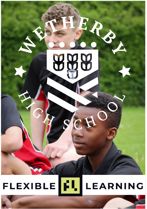

#### βU **FLEXIBLE LEARNING**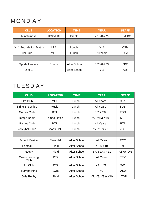## MOND AY

| <b>CLUB</b>           | <b>LOCATION</b>      | <b>TIME</b>  | <b>YEAR</b> | <b>STAFF</b> |
|-----------------------|----------------------|--------------|-------------|--------------|
| <b>Mindfulness</b>    | <b>BG2 &amp; BF2</b> | <b>Break</b> | Y7, Y8 & Y9 | CHI/CBO      |
|                       |                      |              |             |              |
| Y11 Foundation Maths  | AT <sub>2</sub>      | Lunch        | Y11         | <b>CSM</b>   |
| Film Club             | MF <sub>1</sub>      | Lunch        | All Years   | <b>OJA</b>   |
|                       |                      |              |             |              |
| <b>Sports Leaders</b> | Sports               | After School | Y7, Y8 & Y9 | <b>JKE</b>   |
| $D$ of $E$            |                      | After School | Y11         | ADI          |

# TUESD AY

| <b>CLUB</b>             | <b>LOCATION</b>     | <b>TIME</b>  | <b>YEAR</b>      | <b>STAFF</b>    |
|-------------------------|---------------------|--------------|------------------|-----------------|
| Film Club               | MF <sub>1</sub>     | Lunch        | All Years        | <b>OJA</b>      |
| <b>String Ensemble</b>  | Music               | Lunch        | All Years        | <b>SDE</b>      |
| Games Club              | BT <sub>1</sub>     | Lunch        | Y7 & Y8          | EBO             |
| Tempo Radio             | <b>Tempo Office</b> | Lunch        | Y7, Y8 & Y10     | <b>MSH</b>      |
| Games Club              | BT <sub>1</sub>     | Lunch        | All Years        | BT <sub>1</sub> |
| <b>Volleyball Club</b>  | Sports Hall         | Lunch        | Y7, Y8 & Y9      | <b>JCL</b>      |
|                         |                     |              |                  |                 |
| <b>School Musical</b>   | Main Hall           | After School | All Years        | <b>RCO</b>      |
| Football                | Field               | After School | Y9 & Y10         | <b>JKE</b>      |
| Rugby                   | Field               | After School | Y7, Y10 & Y11    | ASW/TOR         |
| Online Learning<br>Club | DT <sub>2</sub>     | After School | All Years        | <b>TEV</b>      |
| Art Club                | DT7                 | After School | <b>Y9 to Y11</b> | SWI             |
| Trampolining            | Gym                 | After School | Y7               | ASW             |
| Girls Rugby             | Field               | After School | Y7, Y8, Y9 & Y10 | <b>TOR</b>      |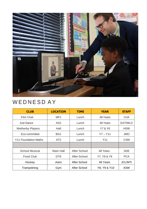

## WEDNESD AY

| <b>CLUB</b>             | <b>LOCATION</b> | <b>TIME</b>  | <b>YEAR</b>  | <b>STAFF</b>   |
|-------------------------|-----------------|--------------|--------------|----------------|
| Film Club               | MF <sub>1</sub> | Lunch        | All Years    | OJA.           |
| <b>Just Dance</b>       | AS <sub>2</sub> | Lunch        | All Years    | EAT/MLO        |
| <b>Wetherby Players</b> | Hall            | Lunch        | Y7 & Y8      | <b>HSW</b>     |
| Eco-committee           | BG1             | Lunch        | $Y7 - Y11$   | <b>JMO</b>     |
| Y11 Foundation Maths    | AT <sub>2</sub> | Lunch        | Y11          | <b>CSM</b>     |
|                         |                 |              |              |                |
| School Musical          | Main Hall       | After School | All Years    | <b>SDE</b>     |
| Food Club               | DT <sub>6</sub> | After School | Y7, Y8 & Y9  | <b>PCA</b>     |
| Hockey                  | Astro           | After School | All Years    | <b>JCL/MTI</b> |
| Trampolining            | Gym             | After School | Y8. Y9 & Y10 | ASW            |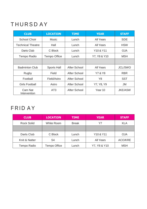# THURSD AY

| <b>CLUB</b>              | <b>LOCATION</b>     | <b>TIME</b>  | <b>YEAR</b>                       | <b>STAFF</b>   |
|--------------------------|---------------------|--------------|-----------------------------------|----------------|
| School Choir             | Music               | Lunch        | All Years                         | <b>SDE</b>     |
| <b>Technical Theatre</b> | Hall                | Lunch        | All Years                         | <b>HSW</b>     |
| Darts Club               | C Block             | Lunch        | Y <sub>10</sub> & Y <sub>11</sub> | OJA.           |
| Tempo Radio              | <b>Tempo Office</b> | Lunch        | Y7, Y8 & Y10                      | <b>MSH</b>     |
|                          |                     |              |                                   |                |
| <b>Badminton Club</b>    | Sports Hall         | After School | All Years                         | <b>JCL/SWO</b> |
| Rugby                    | Field               | After School | Y7 & Y8                           | <b>RBR</b>     |
| Football                 | Field/Astro         | After School | Y8                                | SST            |
| Girls Football           | Astro               | After School | Y7, Y8, Y9                        | <b>JM</b>      |
| Cam Nat<br>Intervention  | AT <sub>3</sub>     | After School | Year 10                           | <b>JKE/ASW</b> |

#### FRID AY

| <b>CLUB</b>   | <b>LOCATION</b> | <b>TIME</b>  | <b>YEAR</b>                       | <b>STAFF</b>   |
|---------------|-----------------|--------------|-----------------------------------|----------------|
| Rock Solid    | White Room      | <b>Break</b> | Υ7                                | KLA            |
|               |                 |              |                                   |                |
| Darts Club    | C Block         | Lunch        | Y <sub>10</sub> & Y <sub>11</sub> | <b>OJA</b>     |
| Knit & Natter | S <sub>4</sub>  | Lunch        | All Years                         | <b>ACO/KRE</b> |
| Tempo Radio   | Tempo Office    | Lunch        | Y7, Y8 & Y10                      | <b>MSH</b>     |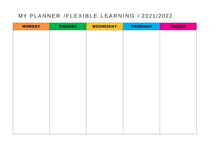#### MY PLANNER / FLEXIBLE LEARNING / 2021/2022

| <b>TUESDAY</b> | <b>WEDNESDAY</b> | <b>THURSDAY</b> | <b>FRIDAY</b> |
|----------------|------------------|-----------------|---------------|
|                |                  |                 |               |
|                |                  |                 |               |
|                |                  |                 |               |
|                |                  |                 |               |
|                |                  |                 |               |
|                |                  |                 |               |
|                |                  |                 |               |
|                |                  |                 |               |
|                |                  |                 |               |
|                |                  |                 |               |
|                |                  |                 |               |
|                |                  |                 |               |
|                |                  |                 |               |
|                |                  |                 |               |
|                |                  |                 |               |